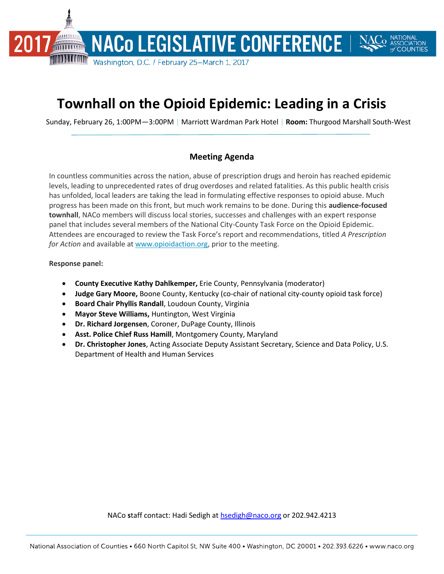

Washington, D.C. / February 25-March 1, 2017

# **Townhall on the Opioid Epidemic: Leading in a Crisis**

Sunday, February 26, 1:00PM—3:00PM | Marriott Wardman Park Hotel | **Room:** Thurgood Marshall South-West

#### **Meeting Agenda**

In countless communities across the nation, abuse of prescription drugs and heroin has reached epidemic levels, leading to unprecedented rates of drug overdoses and related fatalities. As this public health crisis has unfolded, local leaders are taking the lead in formulating effective responses to opioid abuse. Much progress has been made on this front, but much work remains to be done. During this **audience-focused townhall**, NACo members will discuss local stories, successes and challenges with an expert response panel that includes several members of the National City-County Task Force on the Opioid Epidemic. Attendees are encouraged to review the Task Force's report and recommendations, titled *A Prescription for Action* and available at [www.opioidaction.org,](http://www.opioidaction.org/) prior to the meeting.

#### **Response panel:**

- **County Executive Kathy Dahlkemper,** Erie County, Pennsylvania (moderator)
- **Judge Gary Moore,** Boone County, Kentucky (co-chair of national city-county opioid task force)
- **Board Chair Phyllis Randall**, Loudoun County, Virginia
- **Mayor Steve Williams,** Huntington, West Virginia
- **Dr. Richard Jorgensen**, Coroner, DuPage County, Illinois
- **Asst. Police Chief Russ Hamill**, Montgomery County, Maryland
- **Dr. Christopher Jones**, Acting Associate Deputy Assistant Secretary, Science and Data Policy, U.S. Department of Health and Human Services

NACo **s**taff contact: Hadi Sedigh at [hsedigh@naco.org](mailto:hsedigh@naco.org) or 202.942.4213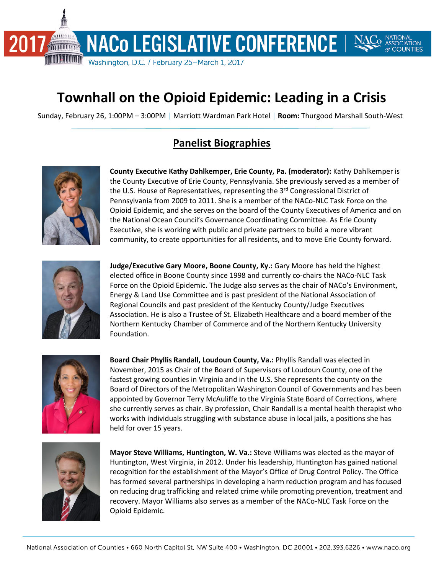

# **Townhall on the Opioid Epidemic: Leading in a Crisis**

Sunday, February 26, 1:00PM – 3:00PM | Marriott Wardman Park Hotel | **Room:** Thurgood Marshall South-West

### **Panelist Biographies**



**County Executive Kathy Dahlkemper, Erie County, Pa. (moderator):** Kathy Dahlkemper is the County Executive of Erie County, Pennsylvania. She previously served as a member of the U.S. House of Representatives, representing the 3<sup>rd</sup> Congressional District of Pennsylvania from 2009 to 2011. She is a member of the NACo-NLC Task Force on the Opioid Epidemic, and she serves on the board of the County Executives of America and on the National Ocean Council's Governance Coordinating Committee. As Erie County Executive, she is working with public and private partners to build a more vibrant community, to create opportunities for all residents, and to move Erie County forward.



**Judge/Executive Gary Moore, Boone County, Ky.:** Gary Moore has held the highest elected office in Boone County since 1998 and currently co-chairs the NACo-NLC Task Force on the Opioid Epidemic. The Judge also serves as the chair of NACo's Environment, Energy & Land Use Committee and is past president of the National Association of Regional Councils and past president of the Kentucky County/Judge Executives Association. He is also a Trustee of St. Elizabeth Healthcare and a board member of the Northern Kentucky Chamber of Commerce and of the Northern Kentucky University Foundation.



**Board Chair Phyllis Randall, Loudoun County, Va.:** Phyllis Randall was elected in November, 2015 as Chair of the Board of Supervisors of Loudoun County, one of the fastest growing counties in Virginia and in the U.S. She represents the county on the Board of Directors of the Metropolitan Washington Council of Governments and has been appointed by Governor Terry McAuliffe to the Virginia State Board of Corrections, where she currently serves as chair. By profession, Chair Randall is a mental health therapist who works with individuals struggling with substance abuse in local jails, a positions she has held for over 15 years.



**Mayor Steve Williams, Huntington, W. Va.:** Steve Williams was elected as the mayor of Huntington, West Virginia, in 2012. Under his leadership, Huntington has gained national recognition for the establishment of the Mayor's Office of Drug Control Policy. The Office has formed several partnerships in developing a harm reduction program and has focused on reducing drug trafficking and related crime while promoting prevention, treatment and recovery. Mayor Williams also serves as a member of the NACo-NLC Task Force on the Opioid Epidemic.